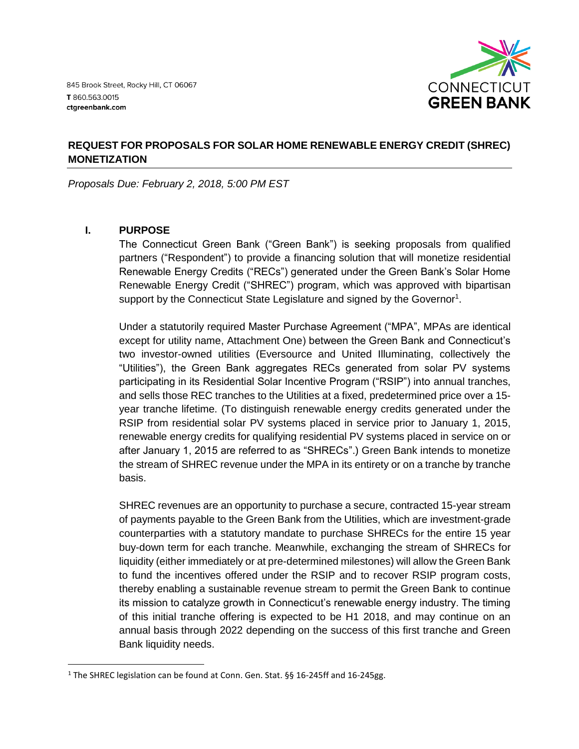

# **REQUEST FOR PROPOSALS FOR SOLAR HOME RENEWABLE ENERGY CREDIT (SHREC) MONETIZATION**

*Proposals Due: February 2, 2018, 5:00 PM EST*

# **I. PURPOSE**

 $\overline{\phantom{a}}$ 

The Connecticut Green Bank ("Green Bank") is seeking proposals from qualified partners ("Respondent") to provide a financing solution that will monetize residential Renewable Energy Credits ("RECs") generated under the Green Bank's Solar Home Renewable Energy Credit ("SHREC") program, which was approved with bipartisan support by the Connecticut State Legislature and signed by the Governor<sup>1</sup>.

Under a statutorily required Master Purchase Agreement ("MPA", MPAs are identical except for utility name, Attachment One) between the Green Bank and Connecticut's two investor-owned utilities (Eversource and United Illuminating, collectively the "Utilities"), the Green Bank aggregates RECs generated from solar PV systems participating in its Residential Solar Incentive Program ("RSIP") into annual tranches, and sells those REC tranches to the Utilities at a fixed, predetermined price over a 15 year tranche lifetime. (To distinguish renewable energy credits generated under the RSIP from residential solar PV systems placed in service prior to January 1, 2015, renewable energy credits for qualifying residential PV systems placed in service on or after January 1, 2015 are referred to as "SHRECs".) Green Bank intends to monetize the stream of SHREC revenue under the MPA in its entirety or on a tranche by tranche basis.

SHREC revenues are an opportunity to purchase a secure, contracted 15-year stream of payments payable to the Green Bank from the Utilities, which are investment-grade counterparties with a statutory mandate to purchase SHRECs for the entire 15 year buy-down term for each tranche. Meanwhile, exchanging the stream of SHRECs for liquidity (either immediately or at pre-determined milestones) will allow the Green Bank to fund the incentives offered under the RSIP and to recover RSIP program costs, thereby enabling a sustainable revenue stream to permit the Green Bank to continue its mission to catalyze growth in Connecticut's renewable energy industry. The timing of this initial tranche offering is expected to be H1 2018, and may continue on an annual basis through 2022 depending on the success of this first tranche and Green Bank liquidity needs.

<sup>&</sup>lt;sup>1</sup> The SHREC legislation can be found at Conn. Gen. Stat. §§ 16-245ff and 16-245gg.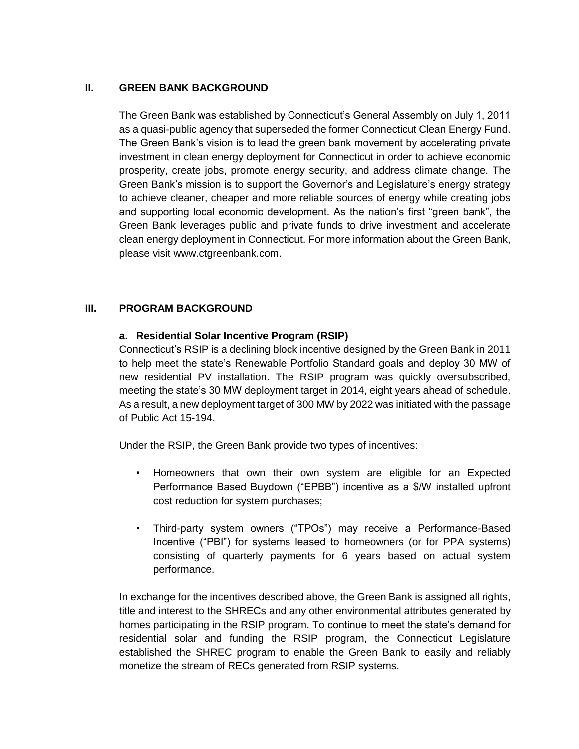## **II. GREEN BANK BACKGROUND**

The Green Bank was established by Connecticut's General Assembly on July 1, 2011 as a quasi-public agency that superseded the former Connecticut Clean Energy Fund. The Green Bank's vision is to lead the green bank movement by accelerating private investment in clean energy deployment for Connecticut in order to achieve economic prosperity, create jobs, promote energy security, and address climate change. The Green Bank's mission is to support the Governor's and Legislature's energy strategy to achieve cleaner, cheaper and more reliable sources of energy while creating jobs and supporting local economic development. As the nation's first "green bank", the Green Bank leverages public and private funds to drive investment and accelerate clean energy deployment in Connecticut. For more information about the Green Bank, please visit www.ctgreenbank.com.

# **III. PROGRAM BACKGROUND**

## **a. Residential Solar Incentive Program (RSIP)**

Connecticut's RSIP is a declining block incentive designed by the Green Bank in 2011 to help meet the state's Renewable Portfolio Standard goals and deploy 30 MW of new residential PV installation. The RSIP program was quickly oversubscribed, meeting the state's 30 MW deployment target in 2014, eight years ahead of schedule. As a result, a new deployment target of 300 MW by 2022 was initiated with the passage of Public Act 15-194.

Under the RSIP, the Green Bank provide two types of incentives:

- Homeowners that own their own system are eligible for an Expected Performance Based Buydown ("EPBB") incentive as a \$/W installed upfront cost reduction for system purchases;
- Third-party system owners ("TPOs") may receive a Performance-Based Incentive ("PBI") for systems leased to homeowners (or for PPA systems) consisting of quarterly payments for 6 years based on actual system performance.

In exchange for the incentives described above, the Green Bank is assigned all rights, title and interest to the SHRECs and any other environmental attributes generated by homes participating in the RSIP program. To continue to meet the state's demand for residential solar and funding the RSIP program, the Connecticut Legislature established the SHREC program to enable the Green Bank to easily and reliably monetize the stream of RECs generated from RSIP systems.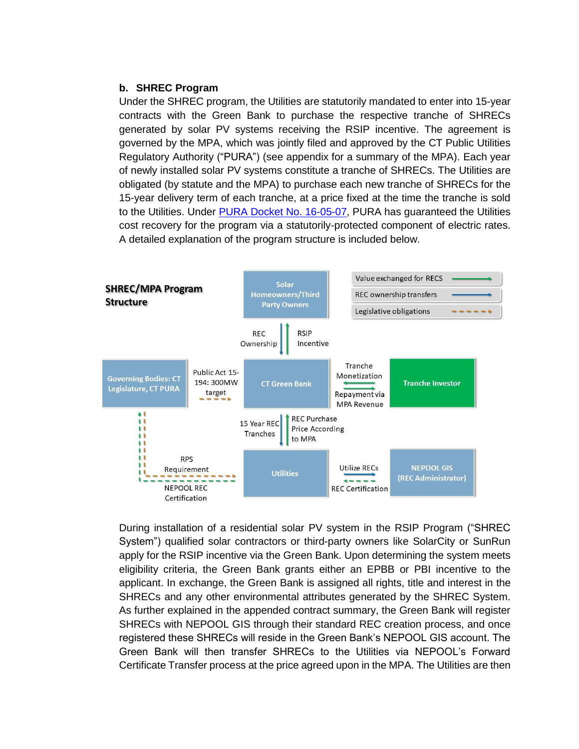### **b. SHREC Program**

Under the SHREC program, the Utilities are statutorily mandated to enter into 15-year contracts with the Green Bank to purchase the respective tranche of SHRECs generated by solar PV systems receiving the RSIP incentive. The agreement is governed by the MPA, which was jointly filed and approved by the CT Public Utilities Regulatory Authority ("PURA") (see appendix for a summary of the MPA). Each year of newly installed solar PV systems constitute a tranche of SHRECs. The Utilities are obligated (by statute and the MPA) to purchase each new tranche of SHRECs for the 15-year delivery term of each tranche, at a price fixed at the time the tranche is sold to the Utilities. Under [PURA Docket No. 16-05-07,](http://www.dpuc.state.ct.us/dockcurr.nsf/(Web+Main+View/All+Dockets)?OpenView&StartKey=16-05-07) PURA has guaranteed the Utilities cost recovery for the program via a statutorily-protected component of electric rates. A detailed explanation of the program structure is included below.



During installation of a residential solar PV system in the RSIP Program ("SHREC System") qualified solar contractors or third-party owners like SolarCity or SunRun apply for the RSIP incentive via the Green Bank. Upon determining the system meets eligibility criteria, the Green Bank grants either an EPBB or PBI incentive to the applicant. In exchange, the Green Bank is assigned all rights, title and interest in the SHRECs and any other environmental attributes generated by the SHREC System. As further explained in the appended contract summary, the Green Bank will register SHRECs with NEPOOL GIS through their standard REC creation process, and once registered these SHRECs will reside in the Green Bank's NEPOOL GIS account. The Green Bank will then transfer SHRECs to the Utilities via NEPOOL's Forward Certificate Transfer process at the price agreed upon in the MPA. The Utilities are then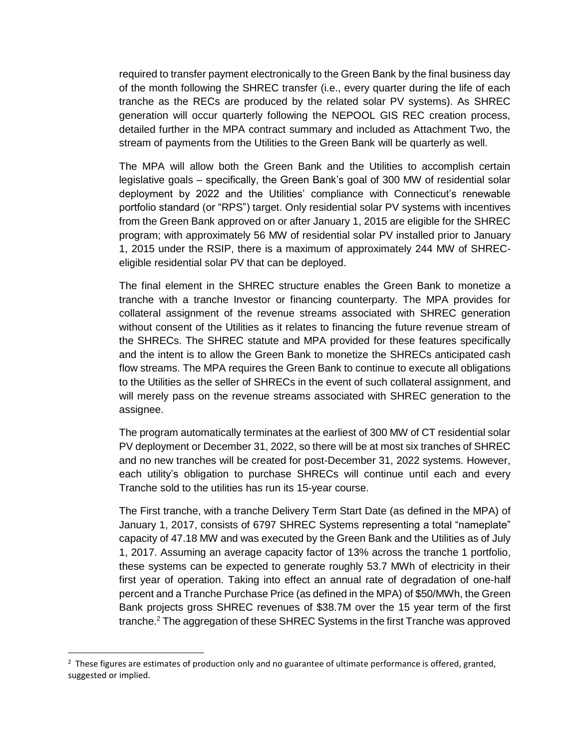required to transfer payment electronically to the Green Bank by the final business day of the month following the SHREC transfer (i.e., every quarter during the life of each tranche as the RECs are produced by the related solar PV systems). As SHREC generation will occur quarterly following the NEPOOL GIS REC creation process, detailed further in the MPA contract summary and included as Attachment Two, the stream of payments from the Utilities to the Green Bank will be quarterly as well.

The MPA will allow both the Green Bank and the Utilities to accomplish certain legislative goals – specifically, the Green Bank's goal of 300 MW of residential solar deployment by 2022 and the Utilities' compliance with Connecticut's renewable portfolio standard (or "RPS") target. Only residential solar PV systems with incentives from the Green Bank approved on or after January 1, 2015 are eligible for the SHREC program; with approximately 56 MW of residential solar PV installed prior to January 1, 2015 under the RSIP, there is a maximum of approximately 244 MW of SHRECeligible residential solar PV that can be deployed.

The final element in the SHREC structure enables the Green Bank to monetize a tranche with a tranche Investor or financing counterparty. The MPA provides for collateral assignment of the revenue streams associated with SHREC generation without consent of the Utilities as it relates to financing the future revenue stream of the SHRECs. The SHREC statute and MPA provided for these features specifically and the intent is to allow the Green Bank to monetize the SHRECs anticipated cash flow streams. The MPA requires the Green Bank to continue to execute all obligations to the Utilities as the seller of SHRECs in the event of such collateral assignment, and will merely pass on the revenue streams associated with SHREC generation to the assignee.

The program automatically terminates at the earliest of 300 MW of CT residential solar PV deployment or December 31, 2022, so there will be at most six tranches of SHREC and no new tranches will be created for post-December 31, 2022 systems. However, each utility's obligation to purchase SHRECs will continue until each and every Tranche sold to the utilities has run its 15-year course.

The First tranche, with a tranche Delivery Term Start Date (as defined in the MPA) of January 1, 2017, consists of 6797 SHREC Systems representing a total "nameplate" capacity of 47.18 MW and was executed by the Green Bank and the Utilities as of July 1, 2017. Assuming an average capacity factor of 13% across the tranche 1 portfolio, these systems can be expected to generate roughly 53.7 MWh of electricity in their first year of operation. Taking into effect an annual rate of degradation of one-half percent and a Tranche Purchase Price (as defined in the MPA) of \$50/MWh, the Green Bank projects gross SHREC revenues of \$38.7M over the 15 year term of the first tranche. $<sup>2</sup>$  The aggregation of these SHREC Systems in the first Tranche was approved</sup>

 $\overline{\phantom{a}}$ 

 $2$  These figures are estimates of production only and no guarantee of ultimate performance is offered, granted, suggested or implied.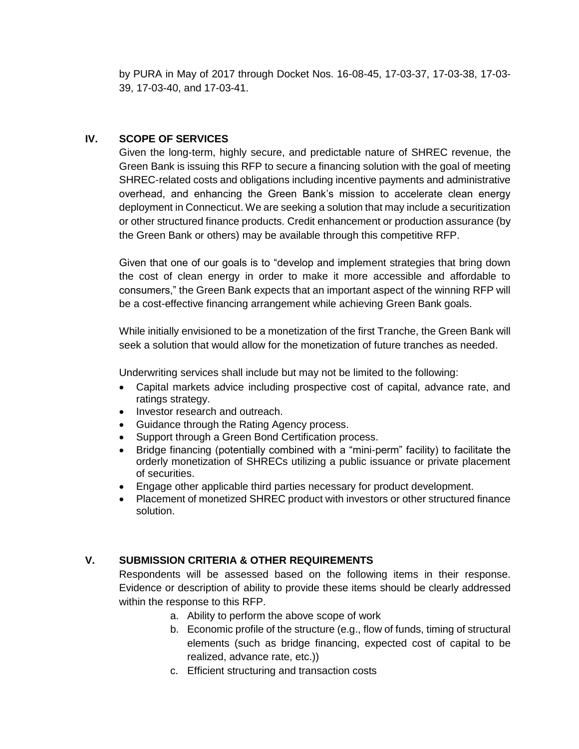by PURA in May of 2017 through Docket Nos. 16-08-45, 17-03-37, 17-03-38, 17-03- 39, 17-03-40, and 17-03-41.

# **IV. SCOPE OF SERVICES**

Given the long-term, highly secure, and predictable nature of SHREC revenue, the Green Bank is issuing this RFP to secure a financing solution with the goal of meeting SHREC-related costs and obligations including incentive payments and administrative overhead, and enhancing the Green Bank's mission to accelerate clean energy deployment in Connecticut. We are seeking a solution that may include a securitization or other structured finance products. Credit enhancement or production assurance (by the Green Bank or others) may be available through this competitive RFP.

Given that one of our goals is to "develop and implement strategies that bring down the cost of clean energy in order to make it more accessible and affordable to consumers," the Green Bank expects that an important aspect of the winning RFP will be a cost-effective financing arrangement while achieving Green Bank goals.

While initially envisioned to be a monetization of the first Tranche, the Green Bank will seek a solution that would allow for the monetization of future tranches as needed.

Underwriting services shall include but may not be limited to the following:

- Capital markets advice including prospective cost of capital, advance rate, and ratings strategy.
- Investor research and outreach.
- Guidance through the Rating Agency process.
- Support through a Green Bond Certification process.
- Bridge financing (potentially combined with a "mini-perm" facility) to facilitate the orderly monetization of SHRECs utilizing a public issuance or private placement of securities.
- Engage other applicable third parties necessary for product development.
- Placement of monetized SHREC product with investors or other structured finance solution.

## **V. SUBMISSION CRITERIA & OTHER REQUIREMENTS**

Respondents will be assessed based on the following items in their response. Evidence or description of ability to provide these items should be clearly addressed within the response to this RFP.

- a. Ability to perform the above scope of work
- b. Economic profile of the structure (e.g., flow of funds, timing of structural elements (such as bridge financing, expected cost of capital to be realized, advance rate, etc.))
- c. Efficient structuring and transaction costs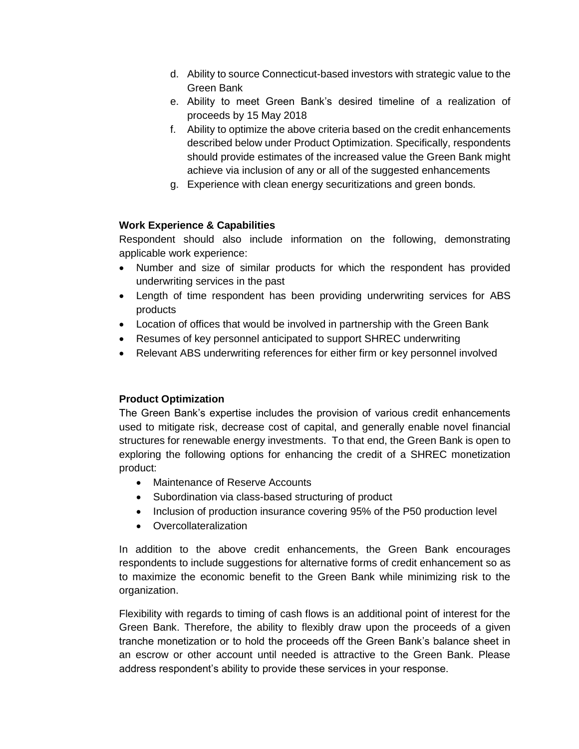- d. Ability to source Connecticut-based investors with strategic value to the Green Bank
- e. Ability to meet Green Bank's desired timeline of a realization of proceeds by 15 May 2018
- f. Ability to optimize the above criteria based on the credit enhancements described below under Product Optimization. Specifically, respondents should provide estimates of the increased value the Green Bank might achieve via inclusion of any or all of the suggested enhancements
- g. Experience with clean energy securitizations and green bonds.

# **Work Experience & Capabilities**

Respondent should also include information on the following, demonstrating applicable work experience:

- Number and size of similar products for which the respondent has provided underwriting services in the past
- Length of time respondent has been providing underwriting services for ABS products
- Location of offices that would be involved in partnership with the Green Bank
- Resumes of key personnel anticipated to support SHREC underwriting
- Relevant ABS underwriting references for either firm or key personnel involved

# **Product Optimization**

The Green Bank's expertise includes the provision of various credit enhancements used to mitigate risk, decrease cost of capital, and generally enable novel financial structures for renewable energy investments. To that end, the Green Bank is open to exploring the following options for enhancing the credit of a SHREC monetization product:

- Maintenance of Reserve Accounts
- Subordination via class-based structuring of product
- Inclusion of production insurance covering 95% of the P50 production level
- Overcollateralization

In addition to the above credit enhancements, the Green Bank encourages respondents to include suggestions for alternative forms of credit enhancement so as to maximize the economic benefit to the Green Bank while minimizing risk to the organization.

Flexibility with regards to timing of cash flows is an additional point of interest for the Green Bank. Therefore, the ability to flexibly draw upon the proceeds of a given tranche monetization or to hold the proceeds off the Green Bank's balance sheet in an escrow or other account until needed is attractive to the Green Bank. Please address respondent's ability to provide these services in your response.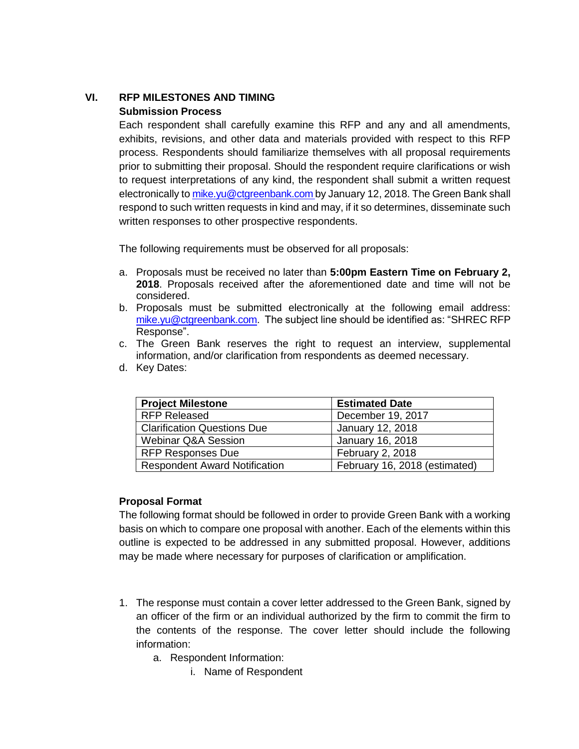# **VI. RFP MILESTONES AND TIMING Submission Process**

Each respondent shall carefully examine this RFP and any and all amendments, exhibits, revisions, and other data and materials provided with respect to this RFP process. Respondents should familiarize themselves with all proposal requirements prior to submitting their proposal. Should the respondent require clarifications or wish to request interpretations of any kind, the respondent shall submit a written request electronically t[o mike.yu@ctgreenbank.com](mailto:mike.yu@ctgreenbank.com) by January 12, 2018. The Green Bank shall respond to such written requests in kind and may, if it so determines, disseminate such written responses to other prospective respondents.

The following requirements must be observed for all proposals:

- a. Proposals must be received no later than **5:00pm Eastern Time on February 2, 2018**. Proposals received after the aforementioned date and time will not be considered.
- b. Proposals must be submitted electronically at the following email address: [mike.yu@ctgreenbank.com.](mailto:mike.yu@ctgreenbank.com) The subject line should be identified as: "SHREC RFP Response".
- c. The Green Bank reserves the right to request an interview, supplemental information, and/or clarification from respondents as deemed necessary.
- d. Key Dates:

| <b>Project Milestone</b>             | <b>Estimated Date</b>         |
|--------------------------------------|-------------------------------|
| <b>RFP Released</b>                  | December 19, 2017             |
| <b>Clarification Questions Due</b>   | January 12, 2018              |
| <b>Webinar Q&amp;A Session</b>       | January 16, 2018              |
| <b>RFP Responses Due</b>             | February 2, 2018              |
| <b>Respondent Award Notification</b> | February 16, 2018 (estimated) |

## **Proposal Format**

The following format should be followed in order to provide Green Bank with a working basis on which to compare one proposal with another. Each of the elements within this outline is expected to be addressed in any submitted proposal. However, additions may be made where necessary for purposes of clarification or amplification.

- 1. The response must contain a cover letter addressed to the Green Bank, signed by an officer of the firm or an individual authorized by the firm to commit the firm to the contents of the response. The cover letter should include the following information:
	- a. Respondent Information:
		- i. Name of Respondent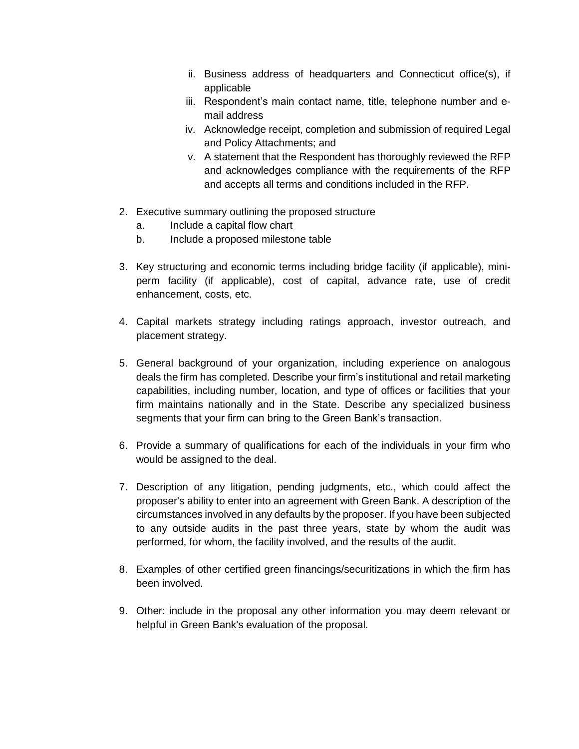- ii. Business address of headquarters and Connecticut office(s), if applicable
- iii. Respondent's main contact name, title, telephone number and email address
- iv. Acknowledge receipt, completion and submission of required Legal and Policy Attachments; and
- v. A statement that the Respondent has thoroughly reviewed the RFP and acknowledges compliance with the requirements of the RFP and accepts all terms and conditions included in the RFP.
- 2. Executive summary outlining the proposed structure
	- a. Include a capital flow chart
	- b. Include a proposed milestone table
- 3. Key structuring and economic terms including bridge facility (if applicable), miniperm facility (if applicable), cost of capital, advance rate, use of credit enhancement, costs, etc.
- 4. Capital markets strategy including ratings approach, investor outreach, and placement strategy.
- 5. General background of your organization, including experience on analogous deals the firm has completed. Describe your firm's institutional and retail marketing capabilities, including number, location, and type of offices or facilities that your firm maintains nationally and in the State. Describe any specialized business segments that your firm can bring to the Green Bank's transaction.
- 6. Provide a summary of qualifications for each of the individuals in your firm who would be assigned to the deal.
- 7. Description of any litigation, pending judgments, etc., which could affect the proposer's ability to enter into an agreement with Green Bank. A description of the circumstances involved in any defaults by the proposer. If you have been subjected to any outside audits in the past three years, state by whom the audit was performed, for whom, the facility involved, and the results of the audit.
- 8. Examples of other certified green financings/securitizations in which the firm has been involved.
- 9. Other: include in the proposal any other information you may deem relevant or helpful in Green Bank's evaluation of the proposal.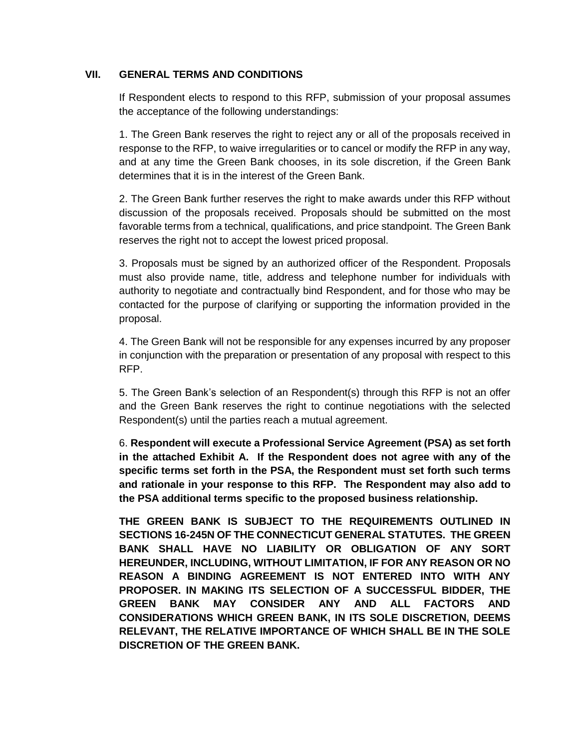## **VII. GENERAL TERMS AND CONDITIONS**

If Respondent elects to respond to this RFP, submission of your proposal assumes the acceptance of the following understandings:

1. The Green Bank reserves the right to reject any or all of the proposals received in response to the RFP, to waive irregularities or to cancel or modify the RFP in any way, and at any time the Green Bank chooses, in its sole discretion, if the Green Bank determines that it is in the interest of the Green Bank.

2. The Green Bank further reserves the right to make awards under this RFP without discussion of the proposals received. Proposals should be submitted on the most favorable terms from a technical, qualifications, and price standpoint. The Green Bank reserves the right not to accept the lowest priced proposal.

3. Proposals must be signed by an authorized officer of the Respondent. Proposals must also provide name, title, address and telephone number for individuals with authority to negotiate and contractually bind Respondent, and for those who may be contacted for the purpose of clarifying or supporting the information provided in the proposal.

4. The Green Bank will not be responsible for any expenses incurred by any proposer in conjunction with the preparation or presentation of any proposal with respect to this RFP.

5. The Green Bank's selection of an Respondent(s) through this RFP is not an offer and the Green Bank reserves the right to continue negotiations with the selected Respondent(s) until the parties reach a mutual agreement.

6. **Respondent will execute a Professional Service Agreement (PSA) as set forth in the attached Exhibit A. If the Respondent does not agree with any of the specific terms set forth in the PSA, the Respondent must set forth such terms and rationale in your response to this RFP. The Respondent may also add to the PSA additional terms specific to the proposed business relationship.**

**THE GREEN BANK IS SUBJECT TO THE REQUIREMENTS OUTLINED IN SECTIONS 16-245N OF THE CONNECTICUT GENERAL STATUTES. THE GREEN BANK SHALL HAVE NO LIABILITY OR OBLIGATION OF ANY SORT HEREUNDER, INCLUDING, WITHOUT LIMITATION, IF FOR ANY REASON OR NO REASON A BINDING AGREEMENT IS NOT ENTERED INTO WITH ANY PROPOSER. IN MAKING ITS SELECTION OF A SUCCESSFUL BIDDER, THE GREEN BANK MAY CONSIDER ANY AND ALL FACTORS AND CONSIDERATIONS WHICH GREEN BANK, IN ITS SOLE DISCRETION, DEEMS RELEVANT, THE RELATIVE IMPORTANCE OF WHICH SHALL BE IN THE SOLE DISCRETION OF THE GREEN BANK.**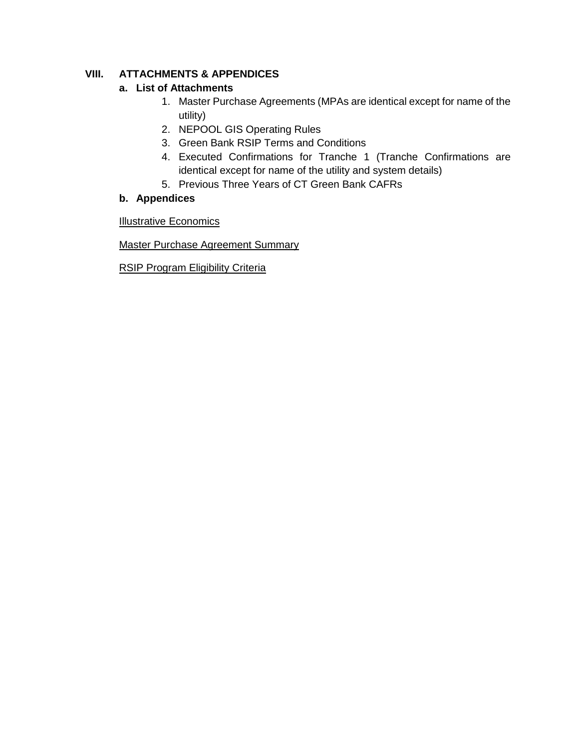# **VIII. ATTACHMENTS & APPENDICES**

# **a. List of Attachments**

- 1. Master Purchase Agreements (MPAs are identical except for name of the utility)
- 2. NEPOOL GIS Operating Rules
- 3. Green Bank RSIP Terms and Conditions
- 4. Executed Confirmations for Tranche 1 (Tranche Confirmations are identical except for name of the utility and system details)
- 5. Previous Three Years of CT Green Bank CAFRs

# **b. Appendices**

**Illustrative Economics** 

Master Purchase Agreement Summary

RSIP Program Eligibility Criteria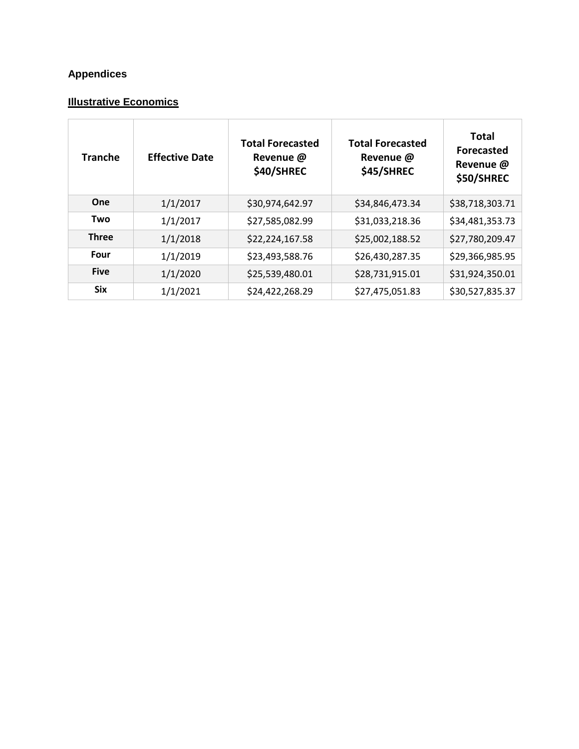# **Appendices**

# **Illustrative Economics**

| <b>Tranche</b> | <b>Effective Date</b> | <b>Total Forecasted</b><br>Revenue @<br><b>\$40/SHREC</b> | <b>Total Forecasted</b><br>Revenue @<br><b>\$45/SHREC</b> | <b>Total</b><br><b>Forecasted</b><br>Revenue @<br><b>\$50/SHREC</b> |
|----------------|-----------------------|-----------------------------------------------------------|-----------------------------------------------------------|---------------------------------------------------------------------|
| One            | 1/1/2017              | \$30,974,642.97                                           | \$34,846,473.34                                           | \$38,718,303.71                                                     |
| Two            | 1/1/2017              | \$27,585,082.99                                           | \$31,033,218.36                                           | \$34,481,353.73                                                     |
| <b>Three</b>   | 1/1/2018              | \$22,224,167.58                                           | \$25,002,188.52                                           | \$27,780,209.47                                                     |
| Four           | 1/1/2019              | \$23,493,588.76                                           | \$26,430,287.35                                           | \$29,366,985.95                                                     |
| <b>Five</b>    | 1/1/2020              | \$25,539,480.01                                           | \$28,731,915.01                                           | \$31,924,350.01                                                     |
| <b>Six</b>     | 1/1/2021              | \$24,422,268.29                                           | \$27,475,051.83                                           | \$30,527,835.37                                                     |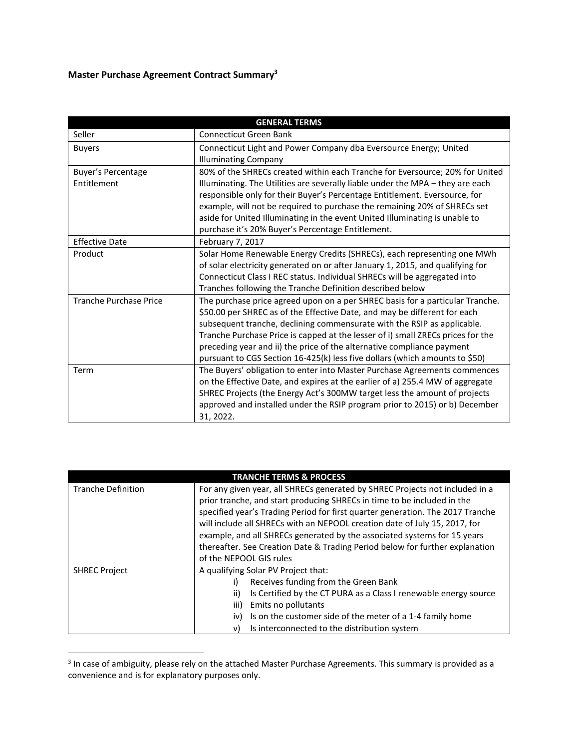# **Master Purchase Agreement Contract Summary<sup>3</sup>**

| <b>GENERAL TERMS</b>          |                                                                                 |  |
|-------------------------------|---------------------------------------------------------------------------------|--|
| Seller                        | Connecticut Green Bank                                                          |  |
| <b>Buyers</b>                 | Connecticut Light and Power Company dba Eversource Energy; United               |  |
|                               | <b>Illuminating Company</b>                                                     |  |
| <b>Buyer's Percentage</b>     | 80% of the SHRECs created within each Tranche for Eversource; 20% for United    |  |
| Entitlement                   | Illuminating. The Utilities are severally liable under the MPA - they are each  |  |
|                               | responsible only for their Buyer's Percentage Entitlement. Eversource, for      |  |
|                               | example, will not be required to purchase the remaining 20% of SHRECs set       |  |
|                               | aside for United Illuminating in the event United Illuminating is unable to     |  |
|                               | purchase it's 20% Buyer's Percentage Entitlement.                               |  |
| <b>Effective Date</b>         | February 7, 2017                                                                |  |
| Product                       | Solar Home Renewable Energy Credits (SHRECs), each representing one MWh         |  |
|                               | of solar electricity generated on or after January 1, 2015, and qualifying for  |  |
|                               | Connecticut Class I REC status. Individual SHRECs will be aggregated into       |  |
|                               | Tranches following the Tranche Definition described below                       |  |
| <b>Tranche Purchase Price</b> | The purchase price agreed upon on a per SHREC basis for a particular Tranche.   |  |
|                               | \$50.00 per SHREC as of the Effective Date, and may be different for each       |  |
|                               | subsequent tranche, declining commensurate with the RSIP as applicable.         |  |
|                               | Tranche Purchase Price is capped at the lesser of i) small ZRECs prices for the |  |
|                               | preceding year and ii) the price of the alternative compliance payment          |  |
|                               | pursuant to CGS Section 16-425(k) less five dollars (which amounts to \$50)     |  |
| Term                          | The Buyers' obligation to enter into Master Purchase Agreements commences       |  |
|                               | on the Effective Date, and expires at the earlier of a) 255.4 MW of aggregate   |  |
|                               | SHREC Projects (the Energy Act's 300MW target less the amount of projects       |  |
|                               | approved and installed under the RSIP program prior to 2015) or b) December     |  |
|                               | 31, 2022.                                                                       |  |

|                           | <b>TRANCHE TERMS &amp; PROCESS</b>                                                                                                                                                                                                                                                                                                                                                                                                                                                                             |
|---------------------------|----------------------------------------------------------------------------------------------------------------------------------------------------------------------------------------------------------------------------------------------------------------------------------------------------------------------------------------------------------------------------------------------------------------------------------------------------------------------------------------------------------------|
| <b>Tranche Definition</b> | For any given year, all SHRECs generated by SHREC Projects not included in a<br>prior tranche, and start producing SHRECs in time to be included in the<br>specified year's Trading Period for first quarter generation. The 2017 Tranche<br>will include all SHRECs with an NEPOOL creation date of July 15, 2017, for<br>example, and all SHRECs generated by the associated systems for 15 years<br>thereafter. See Creation Date & Trading Period below for further explanation<br>of the NEPOOL GIS rules |
| <b>SHREC Project</b>      | A qualifying Solar PV Project that:<br>Receives funding from the Green Bank<br>Is Certified by the CT PURA as a Class I renewable energy source<br>ii)<br>Emits no pollutants<br>iii)<br>Is on the customer side of the meter of a 1-4 family home<br>iv)<br>Is interconnected to the distribution system<br>v)                                                                                                                                                                                                |

 3 In case of ambiguity, please rely on the attached Master Purchase Agreements. This summary is provided as a convenience and is for explanatory purposes only.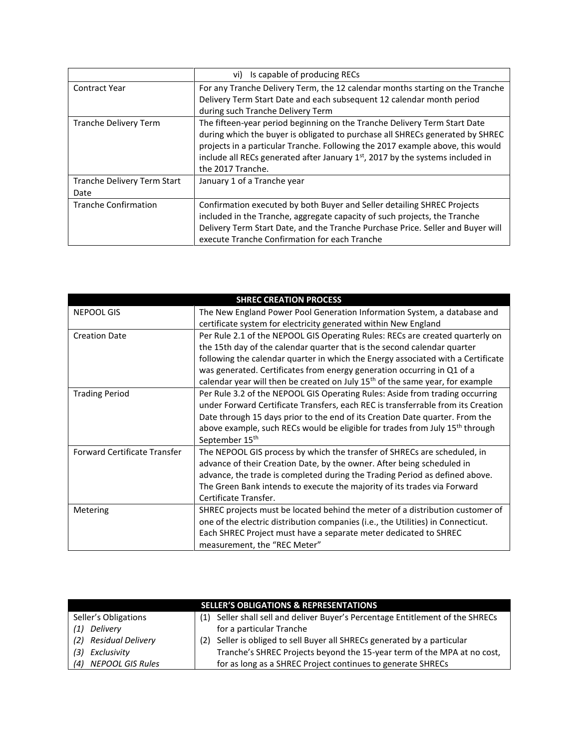|                                     | Is capable of producing RECs<br>vi)                                                                                                                                                                                                                                                                                                                   |
|-------------------------------------|-------------------------------------------------------------------------------------------------------------------------------------------------------------------------------------------------------------------------------------------------------------------------------------------------------------------------------------------------------|
| <b>Contract Year</b>                | For any Tranche Delivery Term, the 12 calendar months starting on the Tranche<br>Delivery Term Start Date and each subsequent 12 calendar month period<br>during such Tranche Delivery Term                                                                                                                                                           |
| <b>Tranche Delivery Term</b>        | The fifteen-year period beginning on the Tranche Delivery Term Start Date<br>during which the buyer is obligated to purchase all SHRECs generated by SHREC<br>projects in a particular Tranche. Following the 2017 example above, this would<br>include all RECs generated after January $1st$ , 2017 by the systems included in<br>the 2017 Tranche. |
| Tranche Delivery Term Start<br>Date | January 1 of a Tranche year                                                                                                                                                                                                                                                                                                                           |
| <b>Tranche Confirmation</b>         | Confirmation executed by both Buyer and Seller detailing SHREC Projects<br>included in the Tranche, aggregate capacity of such projects, the Tranche<br>Delivery Term Start Date, and the Tranche Purchase Price. Seller and Buyer will<br>execute Tranche Confirmation for each Tranche                                                              |

| <b>SHREC CREATION PROCESS</b>       |                                                                                           |  |
|-------------------------------------|-------------------------------------------------------------------------------------------|--|
| <b>NEPOOL GIS</b>                   | The New England Power Pool Generation Information System, a database and                  |  |
|                                     | certificate system for electricity generated within New England                           |  |
| <b>Creation Date</b>                | Per Rule 2.1 of the NEPOOL GIS Operating Rules: RECs are created quarterly on             |  |
|                                     | the 15th day of the calendar quarter that is the second calendar quarter                  |  |
|                                     | following the calendar quarter in which the Energy associated with a Certificate          |  |
|                                     | was generated. Certificates from energy generation occurring in Q1 of a                   |  |
|                                     | calendar year will then be created on July 15 <sup>th</sup> of the same year, for example |  |
| <b>Trading Period</b>               | Per Rule 3.2 of the NEPOOL GIS Operating Rules: Aside from trading occurring              |  |
|                                     | under Forward Certificate Transfers, each REC is transferrable from its Creation          |  |
|                                     | Date through 15 days prior to the end of its Creation Date quarter. From the              |  |
|                                     | above example, such RECs would be eligible for trades from July 15 <sup>th</sup> through  |  |
|                                     | September 15 <sup>th</sup>                                                                |  |
| <b>Forward Certificate Transfer</b> | The NEPOOL GIS process by which the transfer of SHRECs are scheduled, in                  |  |
|                                     | advance of their Creation Date, by the owner. After being scheduled in                    |  |
|                                     | advance, the trade is completed during the Trading Period as defined above.               |  |
|                                     | The Green Bank intends to execute the majority of its trades via Forward                  |  |
|                                     | Certificate Transfer.                                                                     |  |
| Metering                            | SHREC projects must be located behind the meter of a distribution customer of             |  |
|                                     | one of the electric distribution companies (i.e., the Utilities) in Connecticut.          |  |
|                                     | Each SHREC Project must have a separate meter dedicated to SHREC                          |  |
|                                     | measurement, the "REC Meter"                                                              |  |

|                         | <b>SELLER'S OBLIGATIONS &amp; REPRESENTATIONS</b>                              |
|-------------------------|--------------------------------------------------------------------------------|
| Seller's Obligations    | (1) Seller shall sell and deliver Buyer's Percentage Entitlement of the SHRECs |
| Deliverv<br>(1)         | for a particular Tranche                                                       |
| (2) Residual Delivery   | (2) Seller is obliged to sell Buyer all SHRECs generated by a particular       |
| Exclusivity<br>(3)      | Tranche's SHREC Projects beyond the 15-year term of the MPA at no cost,        |
| NEPOOL GIS Rules<br>(4) | for as long as a SHREC Project continues to generate SHRECs                    |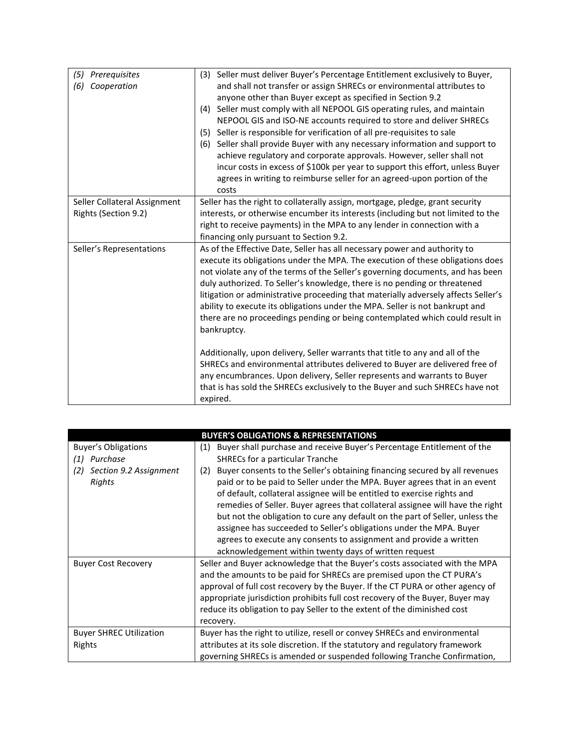| (5)<br>Prerequisites<br>(6)<br>Cooperation | (3) Seller must deliver Buyer's Percentage Entitlement exclusively to Buyer,<br>and shall not transfer or assign SHRECs or environmental attributes to<br>anyone other than Buyer except as specified in Section 9.2<br>Seller must comply with all NEPOOL GIS operating rules, and maintain<br>(4)<br>NEPOOL GIS and ISO-NE accounts required to store and deliver SHRECs<br>(5) Seller is responsible for verification of all pre-requisites to sale<br>(6) Seller shall provide Buyer with any necessary information and support to<br>achieve regulatory and corporate approvals. However, seller shall not<br>incur costs in excess of \$100k per year to support this effort, unless Buyer<br>agrees in writing to reimburse seller for an agreed-upon portion of the<br>costs                                                         |
|--------------------------------------------|----------------------------------------------------------------------------------------------------------------------------------------------------------------------------------------------------------------------------------------------------------------------------------------------------------------------------------------------------------------------------------------------------------------------------------------------------------------------------------------------------------------------------------------------------------------------------------------------------------------------------------------------------------------------------------------------------------------------------------------------------------------------------------------------------------------------------------------------|
| Seller Collateral Assignment               | Seller has the right to collaterally assign, mortgage, pledge, grant security                                                                                                                                                                                                                                                                                                                                                                                                                                                                                                                                                                                                                                                                                                                                                                |
| Rights (Section 9.2)                       | interests, or otherwise encumber its interests (including but not limited to the<br>right to receive payments) in the MPA to any lender in connection with a<br>financing only pursuant to Section 9.2.                                                                                                                                                                                                                                                                                                                                                                                                                                                                                                                                                                                                                                      |
| Seller's Representations                   | As of the Effective Date, Seller has all necessary power and authority to<br>execute its obligations under the MPA. The execution of these obligations does<br>not violate any of the terms of the Seller's governing documents, and has been<br>duly authorized. To Seller's knowledge, there is no pending or threatened<br>litigation or administrative proceeding that materially adversely affects Seller's<br>ability to execute its obligations under the MPA. Seller is not bankrupt and<br>there are no proceedings pending or being contemplated which could result in<br>bankruptcy.<br>Additionally, upon delivery, Seller warrants that title to any and all of the<br>SHRECs and environmental attributes delivered to Buyer are delivered free of<br>any encumbrances. Upon delivery, Seller represents and warrants to Buyer |
|                                            | that is has sold the SHRECs exclusively to the Buyer and such SHRECs have not<br>expired.                                                                                                                                                                                                                                                                                                                                                                                                                                                                                                                                                                                                                                                                                                                                                    |

| <b>BUYER'S OBLIGATIONS &amp; REPRESENTATIONS</b> |                                                                                   |  |
|--------------------------------------------------|-----------------------------------------------------------------------------------|--|
| <b>Buyer's Obligations</b>                       | Buyer shall purchase and receive Buyer's Percentage Entitlement of the<br>(1)     |  |
| Purchase<br>(1)                                  | SHRECs for a particular Tranche                                                   |  |
| Section 9.2 Assignment<br>(2)                    | Buyer consents to the Seller's obtaining financing secured by all revenues<br>(2) |  |
| Rights                                           | paid or to be paid to Seller under the MPA. Buyer agrees that in an event         |  |
|                                                  | of default, collateral assignee will be entitled to exercise rights and           |  |
|                                                  | remedies of Seller. Buyer agrees that collateral assignee will have the right     |  |
|                                                  | but not the obligation to cure any default on the part of Seller, unless the      |  |
|                                                  | assignee has succeeded to Seller's obligations under the MPA. Buyer               |  |
|                                                  | agrees to execute any consents to assignment and provide a written                |  |
|                                                  | acknowledgement within twenty days of written request                             |  |
| <b>Buyer Cost Recovery</b>                       | Seller and Buyer acknowledge that the Buyer's costs associated with the MPA       |  |
|                                                  | and the amounts to be paid for SHRECs are premised upon the CT PURA's             |  |
|                                                  | approval of full cost recovery by the Buyer. If the CT PURA or other agency of    |  |
|                                                  | appropriate jurisdiction prohibits full cost recovery of the Buyer, Buyer may     |  |
|                                                  | reduce its obligation to pay Seller to the extent of the diminished cost          |  |
|                                                  | recovery.                                                                         |  |
| <b>Buyer SHREC Utilization</b>                   | Buyer has the right to utilize, resell or convey SHRECs and environmental         |  |
| Rights                                           | attributes at its sole discretion. If the statutory and regulatory framework      |  |
|                                                  | governing SHRECs is amended or suspended following Tranche Confirmation,          |  |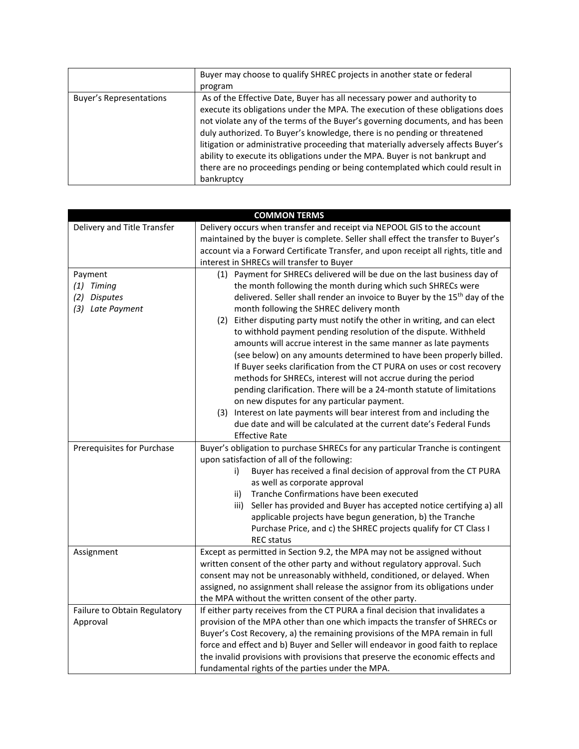|                                | Buyer may choose to qualify SHREC projects in another state or federal<br>program                                                                                                                                                                                                                                                                                                                                                                                                                                                                                                         |
|--------------------------------|-------------------------------------------------------------------------------------------------------------------------------------------------------------------------------------------------------------------------------------------------------------------------------------------------------------------------------------------------------------------------------------------------------------------------------------------------------------------------------------------------------------------------------------------------------------------------------------------|
| <b>Buyer's Representations</b> | As of the Effective Date, Buyer has all necessary power and authority to<br>execute its obligations under the MPA. The execution of these obligations does<br>not violate any of the terms of the Buyer's governing documents, and has been<br>duly authorized. To Buyer's knowledge, there is no pending or threatened<br>litigation or administrative proceeding that materially adversely affects Buyer's<br>ability to execute its obligations under the MPA. Buyer is not bankrupt and<br>there are no proceedings pending or being contemplated which could result in<br>bankruptcy |

|                              | <b>COMMON TERMS</b>                                                                   |
|------------------------------|---------------------------------------------------------------------------------------|
| Delivery and Title Transfer  | Delivery occurs when transfer and receipt via NEPOOL GIS to the account               |
|                              | maintained by the buyer is complete. Seller shall effect the transfer to Buyer's      |
|                              | account via a Forward Certificate Transfer, and upon receipt all rights, title and    |
|                              | interest in SHRECs will transfer to Buyer                                             |
| Payment                      | (1) Payment for SHRECs delivered will be due on the last business day of              |
| $(1)$ Timing                 | the month following the month during which such SHRECs were                           |
| (2) Disputes                 | delivered. Seller shall render an invoice to Buyer by the 15 <sup>th</sup> day of the |
| (3) Late Payment             | month following the SHREC delivery month                                              |
|                              | (2) Either disputing party must notify the other in writing, and can elect            |
|                              | to withhold payment pending resolution of the dispute. Withheld                       |
|                              | amounts will accrue interest in the same manner as late payments                      |
|                              | (see below) on any amounts determined to have been properly billed.                   |
|                              | If Buyer seeks clarification from the CT PURA on uses or cost recovery                |
|                              | methods for SHRECs, interest will not accrue during the period                        |
|                              | pending clarification. There will be a 24-month statute of limitations                |
|                              | on new disputes for any particular payment.                                           |
|                              | (3) Interest on late payments will bear interest from and including the               |
|                              | due date and will be calculated at the current date's Federal Funds                   |
|                              | <b>Effective Rate</b>                                                                 |
| Prerequisites for Purchase   | Buyer's obligation to purchase SHRECs for any particular Tranche is contingent        |
|                              | upon satisfaction of all of the following:                                            |
|                              | Buyer has received a final decision of approval from the CT PURA<br>i)                |
|                              | as well as corporate approval<br>Tranche Confirmations have been executed<br>ii)      |
|                              | Seller has provided and Buyer has accepted notice certifying a) all<br>iii)           |
|                              | applicable projects have begun generation, b) the Tranche                             |
|                              | Purchase Price, and c) the SHREC projects qualify for CT Class I                      |
|                              | <b>REC</b> status                                                                     |
| Assignment                   | Except as permitted in Section 9.2, the MPA may not be assigned without               |
|                              | written consent of the other party and without regulatory approval. Such              |
|                              | consent may not be unreasonably withheld, conditioned, or delayed. When               |
|                              | assigned, no assignment shall release the assignor from its obligations under         |
|                              | the MPA without the written consent of the other party.                               |
| Failure to Obtain Regulatory | If either party receives from the CT PURA a final decision that invalidates a         |
| Approval                     | provision of the MPA other than one which impacts the transfer of SHRECs or           |
|                              | Buyer's Cost Recovery, a) the remaining provisions of the MPA remain in full          |
|                              | force and effect and b) Buyer and Seller will endeavor in good faith to replace       |
|                              | the invalid provisions with provisions that preserve the economic effects and         |
|                              | fundamental rights of the parties under the MPA.                                      |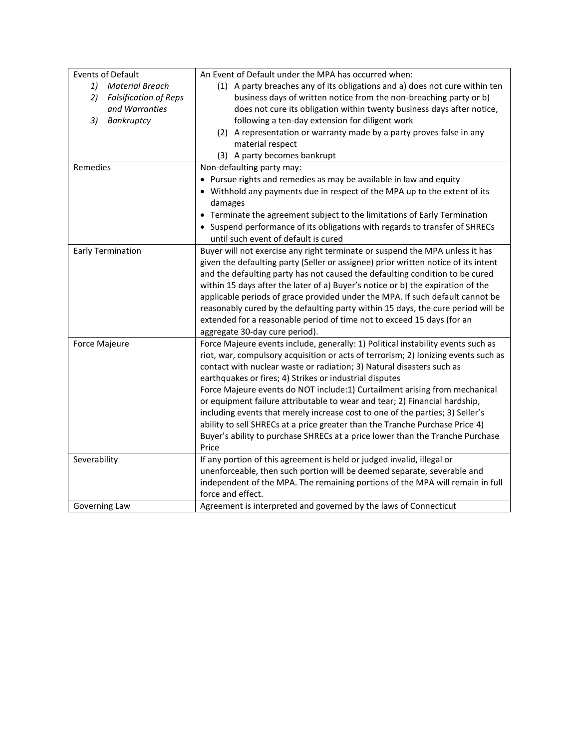| <b>Events of Default</b>           | An Event of Default under the MPA has occurred when:                               |
|------------------------------------|------------------------------------------------------------------------------------|
| 1)<br><b>Material Breach</b>       | (1) A party breaches any of its obligations and a) does not cure within ten        |
| <b>Falsification of Reps</b><br>2) | business days of written notice from the non-breaching party or b)                 |
| and Warranties                     | does not cure its obligation within twenty business days after notice,             |
| Bankruptcy<br>3)                   | following a ten-day extension for diligent work                                    |
|                                    | (2) A representation or warranty made by a party proves false in any               |
|                                    | material respect                                                                   |
|                                    | (3) A party becomes bankrupt                                                       |
| Remedies                           | Non-defaulting party may:                                                          |
|                                    | • Pursue rights and remedies as may be available in law and equity                 |
|                                    | • Withhold any payments due in respect of the MPA up to the extent of its          |
|                                    | damages                                                                            |
|                                    | • Terminate the agreement subject to the limitations of Early Termination          |
|                                    | • Suspend performance of its obligations with regards to transfer of SHRECs        |
|                                    | until such event of default is cured                                               |
| <b>Early Termination</b>           | Buyer will not exercise any right terminate or suspend the MPA unless it has       |
|                                    | given the defaulting party (Seller or assignee) prior written notice of its intent |
|                                    | and the defaulting party has not caused the defaulting condition to be cured       |
|                                    | within 15 days after the later of a) Buyer's notice or b) the expiration of the    |
|                                    | applicable periods of grace provided under the MPA. If such default cannot be      |
|                                    | reasonably cured by the defaulting party within 15 days, the cure period will be   |
|                                    | extended for a reasonable period of time not to exceed 15 days (for an             |
|                                    | aggregate 30-day cure period).                                                     |
| Force Majeure                      | Force Majeure events include, generally: 1) Political instability events such as   |
|                                    | riot, war, compulsory acquisition or acts of terrorism; 2) Ionizing events such as |
|                                    | contact with nuclear waste or radiation; 3) Natural disasters such as              |
|                                    | earthquakes or fires; 4) Strikes or industrial disputes                            |
|                                    | Force Majeure events do NOT include:1) Curtailment arising from mechanical         |
|                                    | or equipment failure attributable to wear and tear; 2) Financial hardship,         |
|                                    | including events that merely increase cost to one of the parties; 3) Seller's      |
|                                    | ability to sell SHRECs at a price greater than the Tranche Purchase Price 4)       |
|                                    | Buyer's ability to purchase SHRECs at a price lower than the Tranche Purchase      |
|                                    | Price                                                                              |
| Severability                       | If any portion of this agreement is held or judged invalid, illegal or             |
|                                    | unenforceable, then such portion will be deemed separate, severable and            |
|                                    | independent of the MPA. The remaining portions of the MPA will remain in full      |
|                                    | force and effect.                                                                  |
| Governing Law                      | Agreement is interpreted and governed by the laws of Connecticut                   |
|                                    |                                                                                    |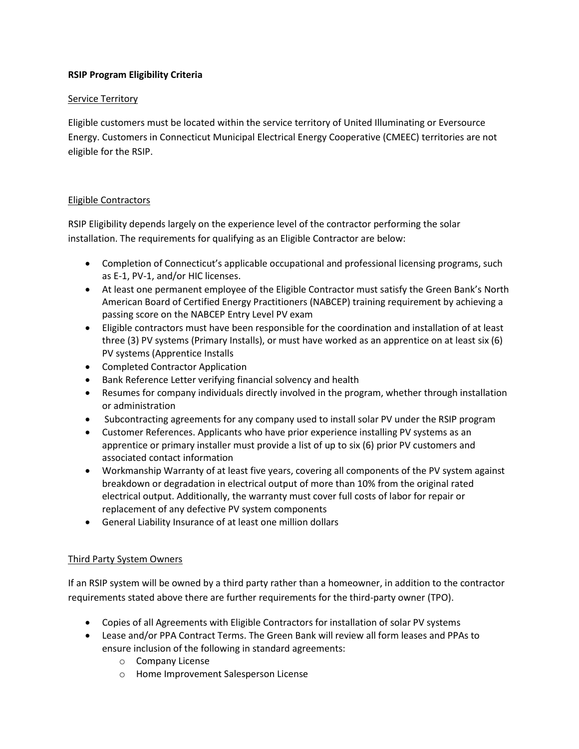### **RSIP Program Eligibility Criteria**

#### **Service Territory**

Eligible customers must be located within the service territory of United Illuminating or Eversource Energy. Customers in Connecticut Municipal Electrical Energy Cooperative (CMEEC) territories are not eligible for the RSIP.

#### Eligible Contractors

RSIP Eligibility depends largely on the experience level of the contractor performing the solar installation. The requirements for qualifying as an Eligible Contractor are below:

- Completion of Connecticut's applicable occupational and professional licensing programs, such as E-1, PV-1, and/or HIC licenses.
- At least one permanent employee of the Eligible Contractor must satisfy the Green Bank's North American Board of Certified Energy Practitioners (NABCEP) training requirement by achieving a passing score on the NABCEP Entry Level PV exam
- Eligible contractors must have been responsible for the coordination and installation of at least three (3) PV systems (Primary Installs), or must have worked as an apprentice on at least six (6) PV systems (Apprentice Installs
- Completed Contractor Application
- Bank Reference Letter verifying financial solvency and health
- Resumes for company individuals directly involved in the program, whether through installation or administration
- Subcontracting agreements for any company used to install solar PV under the RSIP program
- Customer References. Applicants who have prior experience installing PV systems as an apprentice or primary installer must provide a list of up to six (6) prior PV customers and associated contact information
- Workmanship Warranty of at least five years, covering all components of the PV system against breakdown or degradation in electrical output of more than 10% from the original rated electrical output. Additionally, the warranty must cover full costs of labor for repair or replacement of any defective PV system components
- General Liability Insurance of at least one million dollars

## Third Party System Owners

If an RSIP system will be owned by a third party rather than a homeowner, in addition to the contractor requirements stated above there are further requirements for the third-party owner (TPO).

- Copies of all Agreements with Eligible Contractors for installation of solar PV systems
- Lease and/or PPA Contract Terms. The Green Bank will review all form leases and PPAs to ensure inclusion of the following in standard agreements:
	- o Company License
	- o Home Improvement Salesperson License